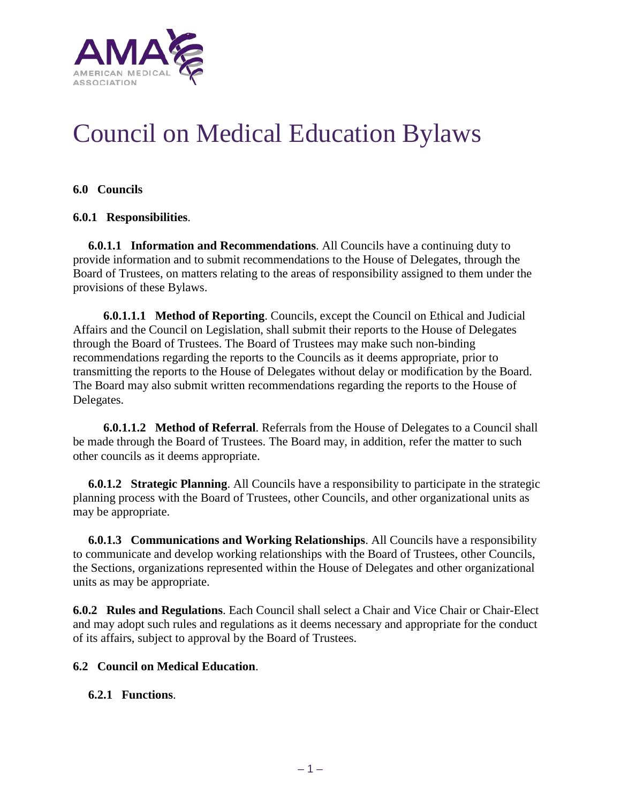

# Council on Medical Education Bylaws

# **6.0 Councils**

### **6.0.1 Responsibilities**.

 **6.0.1.1 Information and Recommendations**. All Councils have a continuing duty to provide information and to submit recommendations to the House of Delegates, through the Board of Trustees, on matters relating to the areas of responsibility assigned to them under the provisions of these Bylaws.

 **6.0.1.1.1 Method of Reporting**. Councils, except the Council on Ethical and Judicial Affairs and the Council on Legislation, shall submit their reports to the House of Delegates through the Board of Trustees. The Board of Trustees may make such non-binding recommendations regarding the reports to the Councils as it deems appropriate, prior to transmitting the reports to the House of Delegates without delay or modification by the Board. The Board may also submit written recommendations regarding the reports to the House of Delegates.

 **6.0.1.1.2 Method of Referral**. Referrals from the House of Delegates to a Council shall be made through the Board of Trustees. The Board may, in addition, refer the matter to such other councils as it deems appropriate.

 **6.0.1.2 Strategic Planning**. All Councils have a responsibility to participate in the strategic planning process with the Board of Trustees, other Councils, and other organizational units as may be appropriate.

 **6.0.1.3 Communications and Working Relationships**. All Councils have a responsibility to communicate and develop working relationships with the Board of Trustees, other Councils, the Sections, organizations represented within the House of Delegates and other organizational units as may be appropriate.

**6.0.2 Rules and Regulations.** Each Council shall select a Chair and Vice Chair or Chair-Elect and may adopt such rules and regulations as it deems necessary and appropriate for the conduct of its affairs, subject to approval by the Board of Trustees.

# **6.2 Council on Medical Education**.

# **6.2.1 Functions**.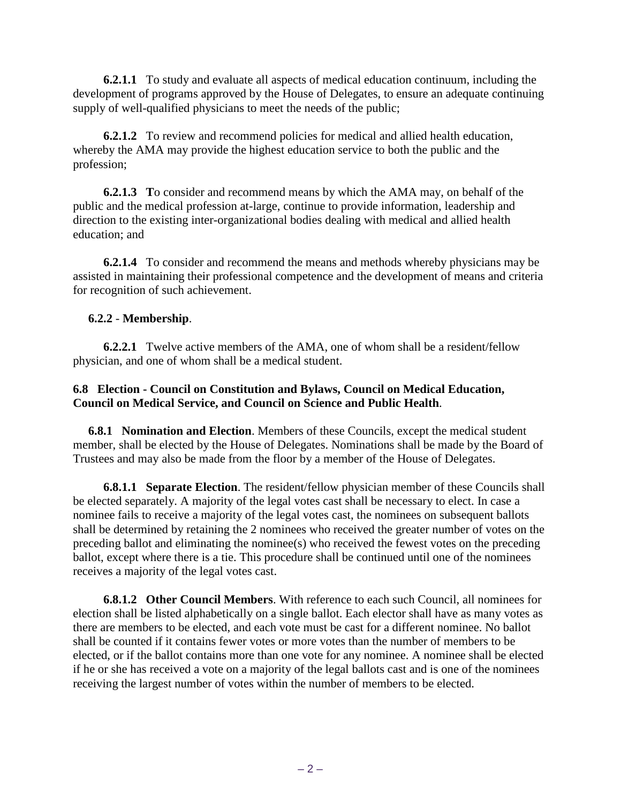**6.2.1.1** To study and evaluate all aspects of medical education continuum, including the development of programs approved by the House of Delegates, to ensure an adequate continuing supply of well-qualified physicians to meet the needs of the public;

 **6.2.1.2** To review and recommend policies for medical and allied health education, whereby the AMA may provide the highest education service to both the public and the profession;

 **6.2.1.3 T**o consider and recommend means by which the AMA may, on behalf of the public and the medical profession at-large, continue to provide information, leadership and direction to the existing inter-organizational bodies dealing with medical and allied health education; and

 **6.2.1.4** To consider and recommend the means and methods whereby physicians may be assisted in maintaining their professional competence and the development of means and criteria for recognition of such achievement.

# **6.2.2** - **Membership**.

 **6.2.2.1** Twelve active members of the AMA, one of whom shall be a resident/fellow physician, and one of whom shall be a medical student.

### **6.8 Election - Council on Constitution and Bylaws, Council on Medical Education, Council on Medical Service, and Council on Science and Public Health**.

 **6.8.1 Nomination and Election**. Members of these Councils, except the medical student member, shall be elected by the House of Delegates. Nominations shall be made by the Board of Trustees and may also be made from the floor by a member of the House of Delegates.

 **6.8.1.1 Separate Election**. The resident/fellow physician member of these Councils shall be elected separately. A majority of the legal votes cast shall be necessary to elect. In case a nominee fails to receive a majority of the legal votes cast, the nominees on subsequent ballots shall be determined by retaining the 2 nominees who received the greater number of votes on the preceding ballot and eliminating the nominee(s) who received the fewest votes on the preceding ballot, except where there is a tie. This procedure shall be continued until one of the nominees receives a majority of the legal votes cast.

 **6.8.1.2 Other Council Members**. With reference to each such Council, all nominees for election shall be listed alphabetically on a single ballot. Each elector shall have as many votes as there are members to be elected, and each vote must be cast for a different nominee. No ballot shall be counted if it contains fewer votes or more votes than the number of members to be elected, or if the ballot contains more than one vote for any nominee. A nominee shall be elected if he or she has received a vote on a majority of the legal ballots cast and is one of the nominees receiving the largest number of votes within the number of members to be elected.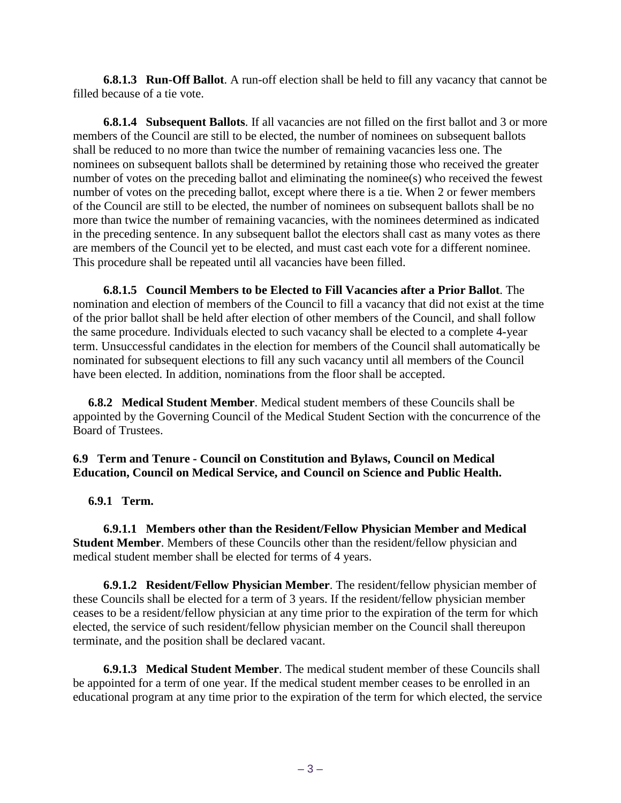**6.8.1.3 Run-Off Ballot**. A run-off election shall be held to fill any vacancy that cannot be filled because of a tie vote.

 **6.8.1.4 Subsequent Ballots**. If all vacancies are not filled on the first ballot and 3 or more members of the Council are still to be elected, the number of nominees on subsequent ballots shall be reduced to no more than twice the number of remaining vacancies less one. The nominees on subsequent ballots shall be determined by retaining those who received the greater number of votes on the preceding ballot and eliminating the nominee(s) who received the fewest number of votes on the preceding ballot, except where there is a tie. When 2 or fewer members of the Council are still to be elected, the number of nominees on subsequent ballots shall be no more than twice the number of remaining vacancies, with the nominees determined as indicated in the preceding sentence. In any subsequent ballot the electors shall cast as many votes as there are members of the Council yet to be elected, and must cast each vote for a different nominee. This procedure shall be repeated until all vacancies have been filled.

 **6.8.1.5 Council Members to be Elected to Fill Vacancies after a Prior Ballot**. The nomination and election of members of the Council to fill a vacancy that did not exist at the time of the prior ballot shall be held after election of other members of the Council, and shall follow the same procedure. Individuals elected to such vacancy shall be elected to a complete 4-year term. Unsuccessful candidates in the election for members of the Council shall automatically be nominated for subsequent elections to fill any such vacancy until all members of the Council have been elected. In addition, nominations from the floor shall be accepted.

 **6.8.2 Medical Student Member**. Medical student members of these Councils shall be appointed by the Governing Council of the Medical Student Section with the concurrence of the Board of Trustees.

# **6.9 Term and Tenure - Council on Constitution and Bylaws, Council on Medical Education, Council on Medical Service, and Council on Science and Public Health.**

 **6.9.1 Term.**

 **6.9.1.1 Members other than the Resident/Fellow Physician Member and Medical Student Member**. Members of these Councils other than the resident/fellow physician and medical student member shall be elected for terms of 4 years.

 **6.9.1.2 Resident/Fellow Physician Member**. The resident/fellow physician member of these Councils shall be elected for a term of 3 years. If the resident/fellow physician member ceases to be a resident/fellow physician at any time prior to the expiration of the term for which elected, the service of such resident/fellow physician member on the Council shall thereupon terminate, and the position shall be declared vacant.

 **6.9.1.3 Medical Student Member**. The medical student member of these Councils shall be appointed for a term of one year. If the medical student member ceases to be enrolled in an educational program at any time prior to the expiration of the term for which elected, the service